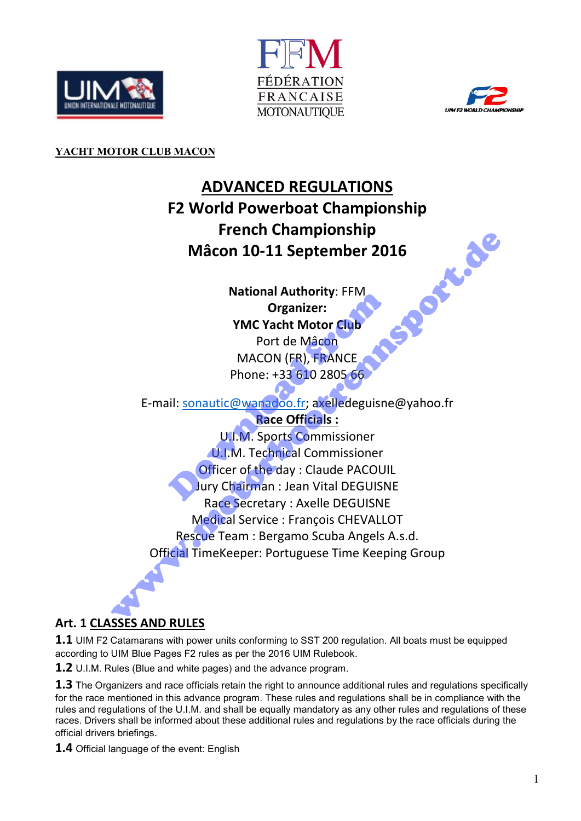





#### YACHT MOTOR CLUB MACON

# ADVANCED REGULATIONS F2 World Powerboat Championship<br>French Championship<br>Mâcon 10-11 September 2016<br>National Authority: FFM<br>Organizer:<br>YMC Yezi French Championship Mâcon 10-11 September 2016

National Authority: FFM Organizer: YMC Yacht Motor Club Port de Mâcon

MACON (FR), FRANCE Phone: +33 610 2805 66

E-mail: sonautic@wanadoo.fr; axelledeguisne@yahoo.fr

Race Officials :

U.I.M. Sports Commissioner U.I.M. Technical Commissioner Officer of the day : Claude PACOUIL Jury Chairman : Jean Vital DEGUISNE Race Secretary : Axelle DEGUISNE Medical Service : François CHEVALLOT Rescue Team : Bergamo Scuba Angels A.s.d. Official TimeKeeper: Portuguese Time Keeping Group Mational Additionty. From Organizer:<br>
MC Yacht Motor Club<br>
Port de Mâcon<br>
MACON (FR), FRANCE<br>
Phone: +33 610 2805 66<br>
Nil: <u>sonautic@wanadoo.fr;</u> axelledeguisne<br>
Race Officials :<br>
U.I.M. Sports Commissioner<br>
Officer of the Macon 10-11 September 2016<br>
Macon 10-11 September 2016<br>
Macional Authority: FFM<br>
Organizer:<br>
MC Yacht Motor Club<br>
Port de Macon<br>
MACON (FR), FRANCE<br>
Phone: +33 610 2805 66<br>
E-mail: <u>sonautic@waradoo.fr;</u> axelledeguisne@yah

# Art. 1 CLASSES AND RULES

**1.1** UIM F2 Catamarans with power units conforming to SST 200 regulation. All boats must be equipped according to UIM Blue Pages F2 rules as per the 2016 UIM Rulebook.

1.2 U.I.M. Rules (Blue and white pages) and the advance program.

**1.3** The Organizers and race officials retain the right to announce additional rules and regulations specifically for the race mentioned in this advance program. These rules and regulations shall be in compliance with the rules and regulations of the U.I.M. and shall be equally mandatory as any other rules and regulations of these races. Drivers shall be informed about these additional rules and regulations by the race officials during the official drivers briefings.

1.4 Official language of the event: English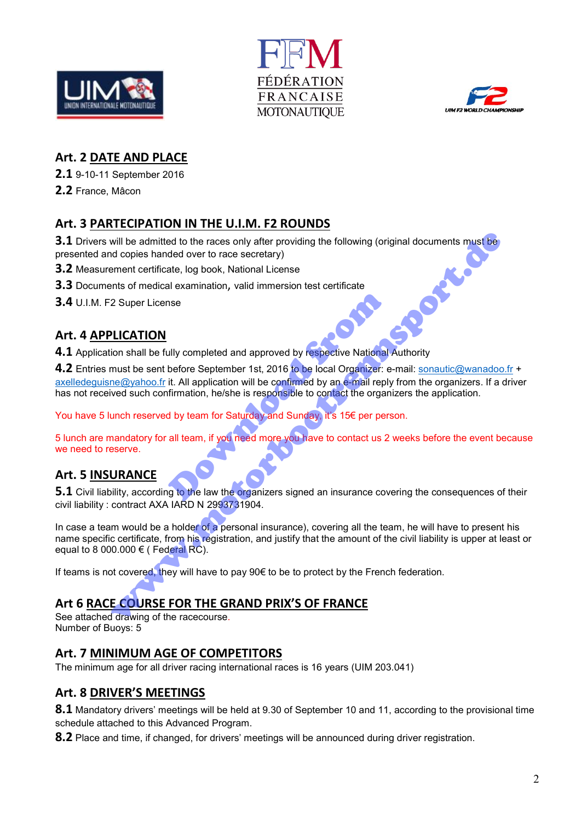





#### Art. 2 DATE AND PLACE

2.1 9-10-11 September 2016

2.2 France, Mâcon

#### Art. 3 PARTECIPATION IN THE U.I.M. F2 ROUNDS

3.1 Drivers will be admitted to the races only after providing the following (original documents must be presented and copies handed over to race secretary)<br>
3.2 Measurement certificate, log book, National License<br>
3.3 Doc presented and copies handed over to race secretary)

3.2 Measurement certificate, log book, National License

3.3 Documents of medical examination, valid immersion test certificate

3.4 U.I.M. F2 Super License

#### Art. 4 APPLICATION

4.1 Application shall be fully completed and approved by respective National Authority

4.2 Entries must be sent before September 1st, 2016 to be local Organizer: e-mail: sonautic@wanadoo.fr + axelledeguisne@yahoo.fr it. All application will be confirmed by an e-mail reply from the organizers. If a driver has not received such confirmation, he/she is responsible to contact the organizers the application. Sometive National<br>
Ully completed and approved by respective National<br>
before September 1st, 2016 to be local Organizer: e<br>
it. All application will be confirmed by an e-mail reply<br>
firmation, he/she is responsible to con will be admitted to the races only after providing the following (original documents must be<br>
id copies handed over to race secretary)<br>
terment certificate, log book, National License<br>
enter the findical examination, valid

You have 5 lunch reserved by team for Saturday and Sunday, it's 15€ per person.

5 lunch are mandatory for all team, if you need more you have to contact us 2 weeks before the event because we need to reserve.

#### Art. 5 INSURANCE

**5.1** Civil liability, according to the law the organizers signed an insurance covering the consequences of their civil liability : contract AXA IARD N 2993731904.

In case a team would be a holder of a personal insurance), covering all the team, he will have to present his name specific certificate, from his registration, and justify that the amount of the civil liability is upper at least or equal to 8 000.000  $\epsilon$  ( Federal RC).

If teams is not covered, they will have to pay  $90 \in \mathfrak{t}$  be to protect by the French federation.

#### Art 6 RACE COURSE FOR THE GRAND PRIX'S OF FRANCE

See attached drawing of the racecourse. Number of Buoys: 5

#### Art. 7 MINIMUM AGE OF COMPETITORS

The minimum age for all driver racing international races is 16 years (UIM 203.041)

#### Art. 8 DRIVER'S MEETINGS

8.1 Mandatory drivers' meetings will be held at 9.30 of September 10 and 11, according to the provisional time schedule attached to this Advanced Program.

8.2 Place and time, if changed, for drivers' meetings will be announced during driver registration.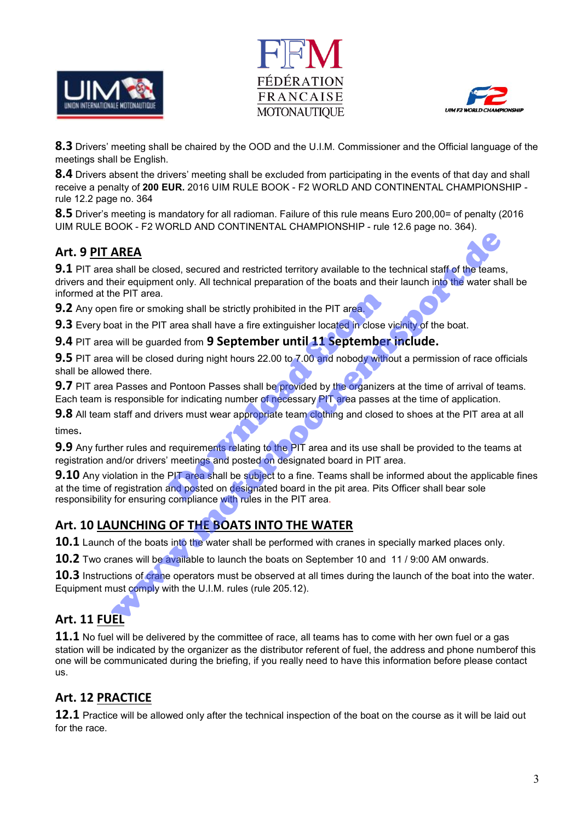





8.3 Drivers' meeting shall be chaired by the OOD and the U.I.M. Commissioner and the Official language of the meetings shall be English.

8.4 Drivers absent the drivers' meeting shall be excluded from participating in the events of that day and shall receive a penalty of 200 EUR. 2016 UIM RULE BOOK - F2 WORLD AND CONTINENTAL CHAMPIONSHIP rule 12.2 page no. 364

8.5 Driver's meeting is mandatory for all radioman. Failure of this rule means Euro 200,00= of penalty (2016 UIM RULE BOOK - F2 WORLD AND CONTINENTAL CHAMPIONSHIP - rule 12.6 page no. 364).

## Art. 9 PIT AREA

**9.1** PIT area shall be closed, secured and restricted territory available to the technical staff of the teams, drivers and their equipment only. All technical preparation of the boats and their launch into the water shall be informed at the PIT area. **AREA**<br>
a shall be closed, secured and restricted territory available to the technical staff of the team<br>
heir equipment only. All technical preparation of the boats and their launch into the water sh<br>
ene PIT area.<br>
In fi

**9.2** Any open fire or smoking shall be strictly prohibited in the PIT area.

9.3 Every boat in the PIT area shall have a fire extinguisher located in close vicinity of the boat.

9.4 PIT area will be guarded from 9 September until 11 September include.

9.5 PIT area will be closed during night hours 22.00 to 7.00 and nobody without a permission of race officials shall be allowed there.

9.7 PIT area Passes and Pontoon Passes shall be provided by the organizers at the time of arrival of teams. Each team is responsible for indicating number of necessary PIT area passes at the time of application.

**9.8** All team staff and drivers must wear appropriate team clothing and closed to shoes at the PIT area at all times.

9.9 Any further rules and requirements relating to the PIT area and its use shall be provided to the teams at registration and/or drivers' meetings and posted on designated board in PIT area.

9.10 Any violation in the PIT area shall be subject to a fine. Teams shall be informed about the applicable fines at the time of registration and posted on designated board in the pit area. Pits Officer shall bear sole responsibility for ensuring compliance with rules in the PIT area. king shall be strictly prohibited in the PIT area,<br>area shall have a fire extinguisher located in close v<br>ded from 9 September until 11 September<br>d during night hours 22.00 to 7.00 and nobody with<br>Pontoon Passes shall be p

## Art. 10 LAUNCHING OF THE BOATS INTO THE WATER

**10.1** Launch of the boats into the water shall be performed with cranes in specially marked places only.

10.2 Two cranes will be available to launch the boats on September 10 and 11 / 9:00 AM onwards.

10.3 Instructions of crane operators must be observed at all times during the launch of the boat into the water. Equipment must comply with the U.I.M. rules (rule 205.12).

## Art. 11 FUEL

**11.1** No fuel will be delivered by the committee of race, all teams has to come with her own fuel or a gas station will be indicated by the organizer as the distributor referent of fuel, the address and phone numberof this one will be communicated during the briefing, if you really need to have this information before please contact us.

## Art. 12 PRACTICE

12.1 Practice will be allowed only after the technical inspection of the boat on the course as it will be laid out for the race.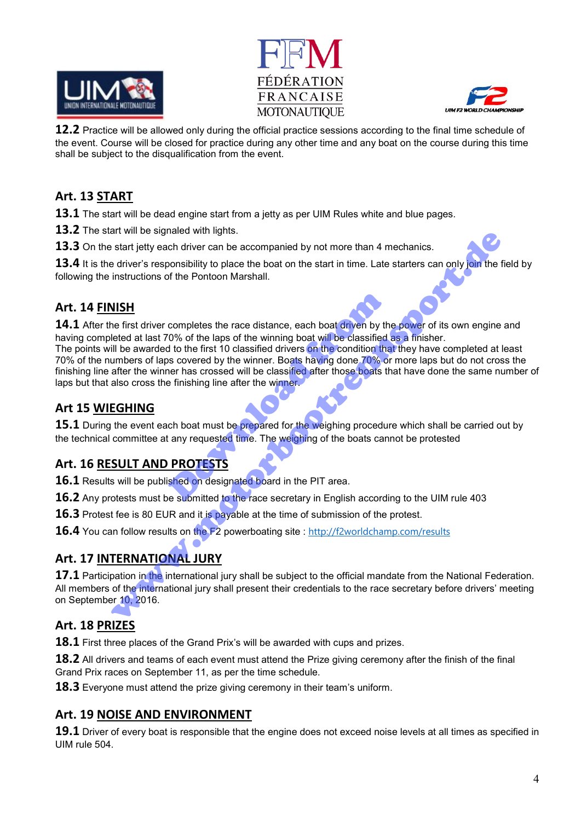





**12.2** Practice will be allowed only during the official practice sessions according to the final time schedule of the event. Course will be closed for practice during any other time and any boat on the course during this time shall be subject to the disqualification from the event.

#### Art. 13 START

**13.1** The start will be dead engine start from a jetty as per UIM Rules white and blue pages.

13.2 The start will be signaled with lights.

**13.3** On the start jetty each driver can be accompanied by not more than 4 mechanics.

13.4 It is the driver's responsibility to place the boat on the start in time. Late starters can only join the field by following the instructions of the Pontoon Marshall.

## Art. 14 FINISH

14.1 After the first driver completes the race distance, each boat driven by the power of its own engine and having completed at last 70% of the laps of the winning boat will be classified as a finisher. The points will be awarded to the first 10 classified drivers on the condition that they have completed at least 70% of the numbers of laps covered by the winner. Boats having done 70% or more laps but do not cross the finishing line after the winner has crossed will be classified after those boats that have done the same number of laps but that also cross the finishing line after the winner. completes the race distance, each boat driven by th<br>
10% of the laps of the winning boat will be classified<br>
10 to the first 10 classified drivers on the condition that<br>
2008 covered by the winner. Boats having done 70% or and will be sylicated with the state that the mechanical state is the properties that we have the state is the properties of the Pontoon Marshall.<br>
WISH<br>
Instructions of the Pontoon Marshall.<br>
WISH<br>
Instructions of the Pon

## Art 15 WIEGHING

**15.1** During the event each boat must be prepared for the weighing procedure which shall be carried out by the technical committee at any requested time. The weighing of the boats cannot be protested

## Art. 16 RESULT AND PROTESTS

16.1 Results will be published on designated board in the PIT area.

16.2 Anv protests must be submitted to the race secretary in English according to the UIM rule 403

**16.3** Protest fee is 80 EUR and it is payable at the time of submission of the protest.

16.4 You can follow results on the F2 powerboating site : http://f2worldchamp.com/results

# Art. 17 INTERNATIONAL JURY

17.1 Participation in the international jury shall be subject to the official mandate from the National Federation. All members of the international jury shall present their credentials to the race secretary before drivers' meeting on September 10, 2016.

## Art. 18 PRIZES

**18.1** First three places of the Grand Prix's will be awarded with cups and prizes.

**18.2** All drivers and teams of each event must attend the Prize giving ceremony after the finish of the final Grand Prix races on September 11, as per the time schedule.

18.3 Everyone must attend the prize giving ceremony in their team's uniform.

#### Art. 19 NOISE AND ENVIRONMENT

19.1 Driver of every boat is responsible that the engine does not exceed noise levels at all times as specified in UIM rule 504.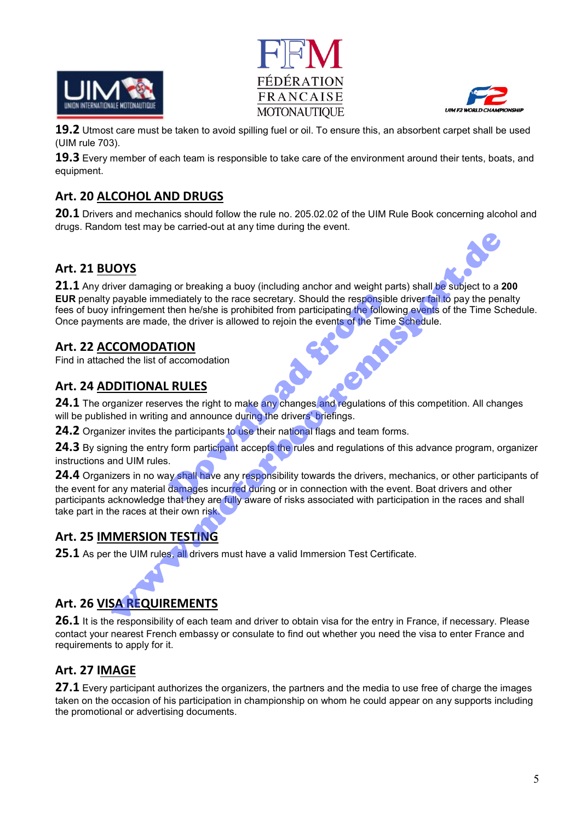





**19.2** Utmost care must be taken to avoid spilling fuel or oil. To ensure this, an absorbent carpet shall be used (UIM rule 703).

19.3 Every member of each team is responsible to take care of the environment around their tents, boats, and equipment.

## Art. 20 ALCOHOL AND DRUGS

**20.1** Drivers and mechanics should follow the rule no. 205.02.02 of the UIM Rule Book concerning alcohol and drugs. Random test may be carried-out at any time during the event.

#### Art. 21 BUOYS

21.1 Any driver damaging or breaking a buoy (including anchor and weight parts) shall be subject to a 200 **EUR** penalty payable immediately to the race secretary. Should the responsible driver fail to pay the penalty fees of buoy infringement then he/she is prohibited from participating the following events of the Time Schedule. Once payments are made, the driver is allowed to rejoin the events of the Time Schedule. Exercise the race secretary. Should the responsib<br>then he/she is prohibited from participating the follow<br>i, the driver is allowed to rejoin the events of the Tim<br>TION<br>accomodation<br>accomodation<br>accomodation<br>accomodation<br>ac

#### Art. 22 ACCOMODATION

Find in attached the list of accomodation

#### Art. 24 ADDITIONAL RULES

24.1 The organizer reserves the right to make any changes and regulations of this competition. All changes will be published in writing and announce during the drivers' briefings.

24.2 Organizer invites the participants to use their national flags and team forms.

24.3 By signing the entry form participant accepts the rules and regulations of this advance program, organizer instructions and UIM rules.

24.4 Organizers in no way shall have any responsibility towards the drivers, mechanics, or other participants of the event for any material damages incurred during or in connection with the event. Boat drivers and other participants acknowledge that they are fully aware of risks associated with participation in the races and shall take part in the races at their own risk. **IOYS**<br>
IVEN diver damaging or breaking a buoy (including anchor and weight parts) shall be subject to a represented by the race secretary. Should the responsible dirrect in o pay the periodic mention and infiningement the

#### Art. 25 IMMERSION TESTING

25.1 As per the UIM rules, all drivers must have a valid Immersion Test Certificate.

#### Art. 26 VISA REQUIREMENTS

26.1 It is the responsibility of each team and driver to obtain visa for the entry in France, if necessary. Please contact your nearest French embassy or consulate to find out whether you need the visa to enter France and requirements to apply for it.

#### Art. 27 IMAGE

27.1 Every participant authorizes the organizers, the partners and the media to use free of charge the images taken on the occasion of his participation in championship on whom he could appear on any supports including the promotional or advertising documents.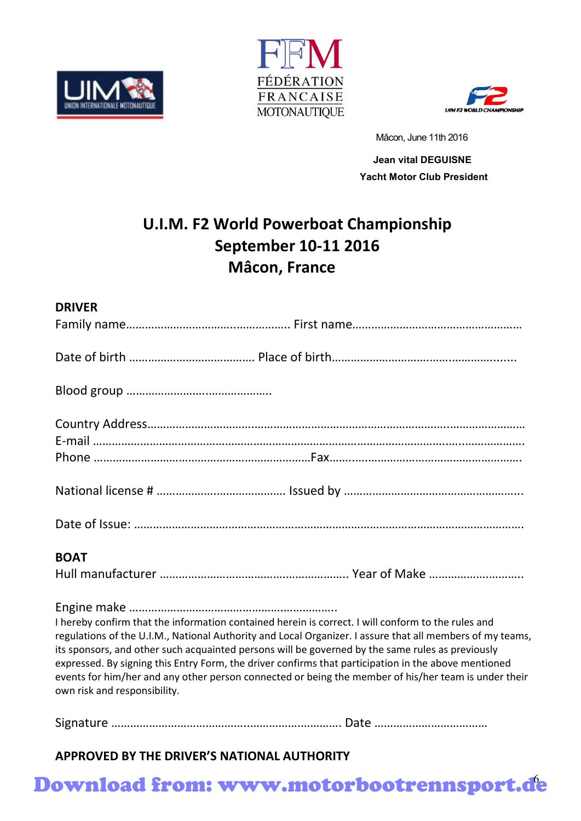





Mâcon, June 11th 2016

 Jean vital DEGUISNE Yacht Motor Club President

# U.I.M. F2 World Powerboat Championship September 10-11 2016 Mâcon, France

| <b>DRIVER</b>                                                                                                                                                                                                                                                                                                                                                                                                                                                                                                                                                       |
|---------------------------------------------------------------------------------------------------------------------------------------------------------------------------------------------------------------------------------------------------------------------------------------------------------------------------------------------------------------------------------------------------------------------------------------------------------------------------------------------------------------------------------------------------------------------|
|                                                                                                                                                                                                                                                                                                                                                                                                                                                                                                                                                                     |
|                                                                                                                                                                                                                                                                                                                                                                                                                                                                                                                                                                     |
|                                                                                                                                                                                                                                                                                                                                                                                                                                                                                                                                                                     |
|                                                                                                                                                                                                                                                                                                                                                                                                                                                                                                                                                                     |
|                                                                                                                                                                                                                                                                                                                                                                                                                                                                                                                                                                     |
|                                                                                                                                                                                                                                                                                                                                                                                                                                                                                                                                                                     |
| <b>BOAT</b>                                                                                                                                                                                                                                                                                                                                                                                                                                                                                                                                                         |
|                                                                                                                                                                                                                                                                                                                                                                                                                                                                                                                                                                     |
| I hereby confirm that the information contained herein is correct. I will conform to the rules and<br>regulations of the U.I.M., National Authority and Local Organizer. I assure that all members of my teams,<br>its sponsors, and other such acquainted persons will be governed by the same rules as previously<br>expressed. By signing this Entry Form, the driver confirms that participation in the above mentioned<br>events for him/her and any other person connected or being the member of his/her team is under their<br>own risk and responsibility. |
|                                                                                                                                                                                                                                                                                                                                                                                                                                                                                                                                                                     |

APPROVED BY THE DRIVER'S NATIONAL AUTHORITY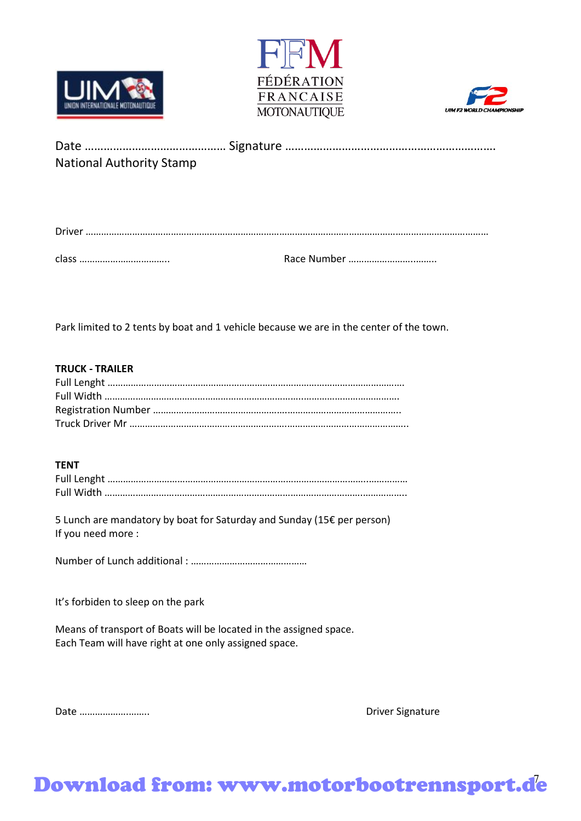





| <b>National Authority Stamp</b> |  |
|---------------------------------|--|

| $\begin{minipage}{.4\linewidth} \textbf{Driver} \end{minipage} \begin{minipage}{.4\linewidth} \textbf{Driver} \end{minipage} \begin{minipage}{.4\linewidth} \textbf{Driver} \end{minipage} \begin{minipage}{.4\linewidth} \textbf{Driver} \end{minipage} \begin{minipage}{.4\linewidth} \textbf{Driver} \end{minipage} \begin{minipage}{.4\linewidth} \textbf{Driver} \end{minipage} \begin{minipage}{.4\linewidth} \textbf{Driver} \end{minipage} \begin{minipage}{.4\linewidth} \textbf{Driver} \end{minipage} \begin{minipage}{.4\linewidth}$ |
|--------------------------------------------------------------------------------------------------------------------------------------------------------------------------------------------------------------------------------------------------------------------------------------------------------------------------------------------------------------------------------------------------------------------------------------------------------------------------------------------------------------------------------------------------|
|                                                                                                                                                                                                                                                                                                                                                                                                                                                                                                                                                  |

Park limited to 2 tents by boat and 1 vehicle because we are in the center of the town.

#### TRUCK - TRAILER

#### TENT

5 Lunch are mandatory by boat for Saturday and Sunday (15€ per person) If you need more :

Number of Lunch additional : ………………………………………

It's forbiden to sleep on the park

Means of transport of Boats will be located in the assigned space. Each Team will have right at one only assigned space.

Date ……………….…….. Driver Signature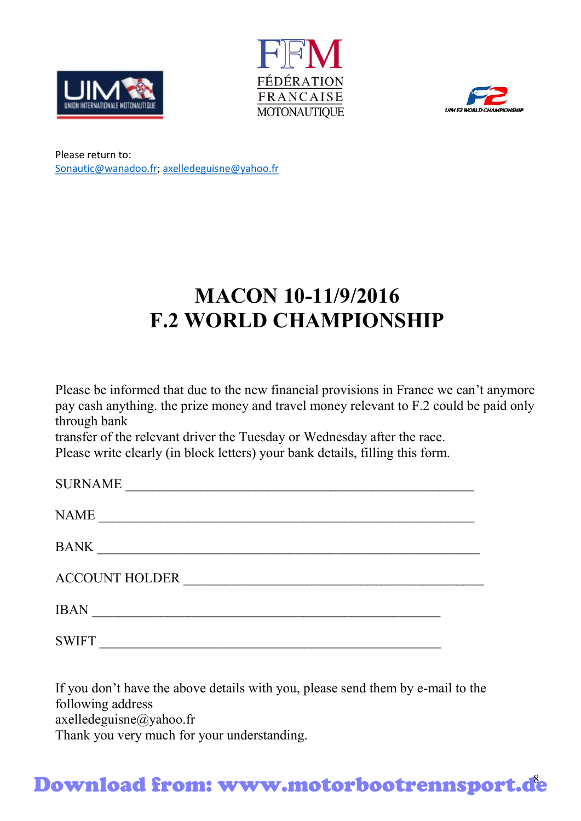





Please return to: Sonautic@wanadoo.fr; axelledeguisne@yahoo.fr

# MACON 10-11/9/2016 F.2 WORLD CHAMPIONSHIP

Please be informed that due to the new financial provisions in France we can't anymore pay cash anything. the prize money and travel money relevant to F.2 could be paid only through bank

transfer of the relevant driver the Tuesday or Wednesday after the race. Please write clearly (in block letters) your bank details, filling this form.

| <b>SURNAME</b>        |  |  |
|-----------------------|--|--|
| NAME                  |  |  |
| <b>BANK</b>           |  |  |
| <b>ACCOUNT HOLDER</b> |  |  |
| <b>IRAN</b>           |  |  |

SWIFT  $\blacksquare$ 

If you don't have the above details with you, please send them by e-mail to the following address axelledeguisne@yahoo.fr Thank you very much for your understanding.